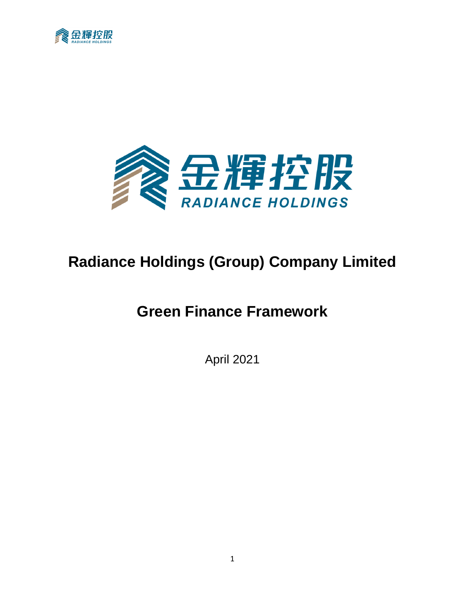



# **Radiance Holdings (Group) Company Limited**

# **Green Finance Framework**

April 2021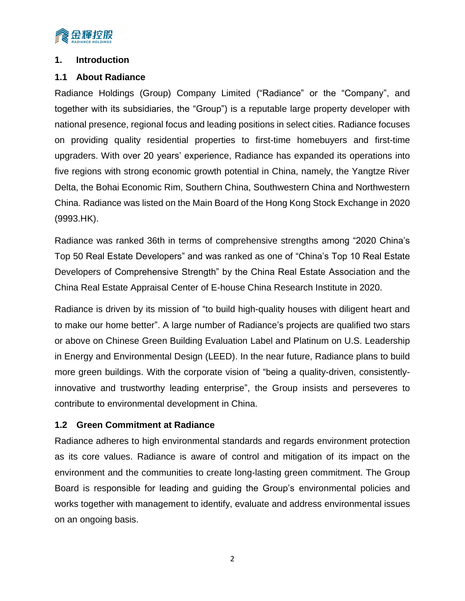

#### **1. Introduction**

### **1.1 About Radiance**

Radiance Holdings (Group) Company Limited ("Radiance" or the "Company", and together with its subsidiaries, the "Group") is a reputable large property developer with national presence, regional focus and leading positions in select cities. Radiance focuses on providing quality residential properties to first-time homebuyers and first-time upgraders. With over 20 years' experience, Radiance has expanded its operations into five regions with strong economic growth potential in China, namely, the Yangtze River Delta, the Bohai Economic Rim, Southern China, Southwestern China and Northwestern China. Radiance was listed on the Main Board of the Hong Kong Stock Exchange in 2020 (9993.HK).

Radiance was ranked 36th in terms of comprehensive strengths among "2020 China's Top 50 Real Estate Developers" and was ranked as one of "China's Top 10 Real Estate Developers of Comprehensive Strength" by the China Real Estate Association and the China Real Estate Appraisal Center of E-house China Research Institute in 2020.

Radiance is driven by its mission of "to build high-quality houses with diligent heart and to make our home better". A large number of Radiance's projects are qualified two stars or above on Chinese Green Building Evaluation Label and Platinum on U.S. Leadership in Energy and Environmental Design (LEED). In the near future, Radiance plans to build more green buildings. With the corporate vision of "being a quality-driven, consistentlyinnovative and trustworthy leading enterprise", the Group insists and perseveres to contribute to environmental development in China.

### **1.2 Green Commitment at Radiance**

Radiance adheres to high environmental standards and regards environment protection as its core values. Radiance is aware of control and mitigation of its impact on the environment and the communities to create long-lasting green commitment. The Group Board is responsible for leading and guiding the Group's environmental policies and works together with management to identify, evaluate and address environmental issues on an ongoing basis.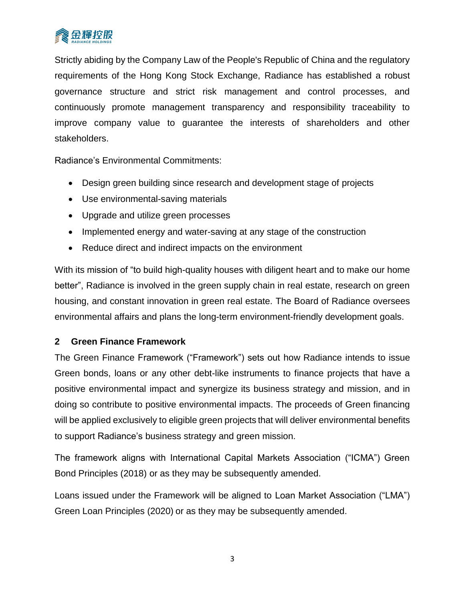

Strictly abiding by the Company Law of the People's Republic of China and the regulatory requirements of the Hong Kong Stock Exchange, Radiance has established a robust governance structure and strict risk management and control processes, and continuously promote management transparency and responsibility traceability to improve company value to guarantee the interests of shareholders and other stakeholders.

Radiance's Environmental Commitments:

- Design green building since research and development stage of projects
- Use environmental-saving materials
- Upgrade and utilize green processes
- Implemented energy and water-saving at any stage of the construction
- Reduce direct and indirect impacts on the environment

With its mission of "to build high-quality houses with diligent heart and to make our home better", Radiance is involved in the green supply chain in real estate, research on green housing, and constant innovation in green real estate. The Board of Radiance oversees environmental affairs and plans the long-term environment-friendly development goals.

#### **2 Green Finance Framework**

The Green Finance Framework ("Framework") sets out how Radiance intends to issue Green bonds, loans or any other debt-like instruments to finance projects that have a positive environmental impact and synergize its business strategy and mission, and in doing so contribute to positive environmental impacts. The proceeds of Green financing will be applied exclusively to eligible green projects that will deliver environmental benefits to support Radiance's business strategy and green mission.

The framework aligns with International Capital Markets Association ("ICMA") Green Bond Principles (2018) or as they may be subsequently amended.

Loans issued under the Framework will be aligned to Loan Market Association ("LMA") Green Loan Principles (2020) or as they may be subsequently amended.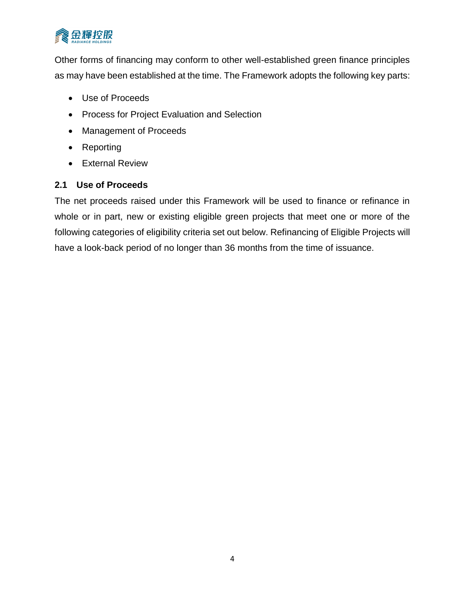

Other forms of financing may conform to other well-established green finance principles as may have been established at the time. The Framework adopts the following key parts:

- Use of Proceeds
- Process for Project Evaluation and Selection
- Management of Proceeds
- Reporting
- External Review

### **2.1 Use of Proceeds**

The net proceeds raised under this Framework will be used to finance or refinance in whole or in part, new or existing eligible green projects that meet one or more of the following categories of eligibility criteria set out below. Refinancing of Eligible Projects will have a look-back period of no longer than 36 months from the time of issuance.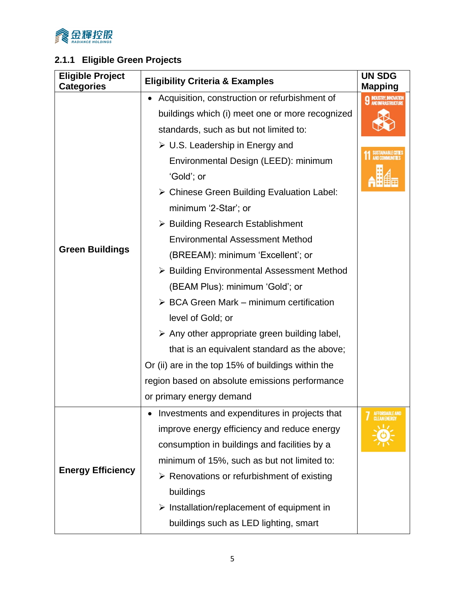

# **2.1.1 Eligible Green Projects**

| <b>Eligible Project</b><br><b>Categories</b> | <b>Eligibility Criteria &amp; Examples</b>                   | <b>UN SDG</b><br><b>Mapping</b>                   |
|----------------------------------------------|--------------------------------------------------------------|---------------------------------------------------|
|                                              | Acquisition, construction or refurbishment of                | <b>INDUSTRY, INNOVATION</b><br>AND INFRASTRUCTURE |
|                                              | buildings which (i) meet one or more recognized              |                                                   |
|                                              | standards, such as but not limited to:                       |                                                   |
|                                              | $\triangleright$ U.S. Leadership in Energy and               |                                                   |
|                                              | Environmental Design (LEED): minimum                         |                                                   |
|                                              | 'Gold'; or                                                   |                                                   |
|                                              | > Chinese Green Building Evaluation Label:                   |                                                   |
|                                              | minimum '2-Star'; or                                         |                                                   |
| <b>Green Buildings</b>                       | $\triangleright$ Building Research Establishment             |                                                   |
|                                              | <b>Environmental Assessment Method</b>                       |                                                   |
|                                              | (BREEAM): minimum 'Excellent'; or                            |                                                   |
|                                              | > Building Environmental Assessment Method                   |                                                   |
|                                              | (BEAM Plus): minimum 'Gold'; or                              |                                                   |
|                                              | $\triangleright$ BCA Green Mark – minimum certification      |                                                   |
|                                              | level of Gold; or                                            |                                                   |
|                                              | $\triangleright$ Any other appropriate green building label, |                                                   |
|                                              | that is an equivalent standard as the above;                 |                                                   |
|                                              | Or (ii) are in the top 15% of buildings within the           |                                                   |
|                                              | region based on absolute emissions performance               |                                                   |
|                                              | or primary energy demand                                     |                                                   |
|                                              | Investments and expenditures in projects that                |                                                   |
|                                              | improve energy efficiency and reduce energy                  |                                                   |
|                                              | consumption in buildings and facilities by a                 |                                                   |
|                                              | minimum of 15%, such as but not limited to:                  |                                                   |
| <b>Energy Efficiency</b>                     | $\triangleright$ Renovations or refurbishment of existing    |                                                   |
|                                              | buildings                                                    |                                                   |
|                                              | $\triangleright$ Installation/replacement of equipment in    |                                                   |
|                                              | buildings such as LED lighting, smart                        |                                                   |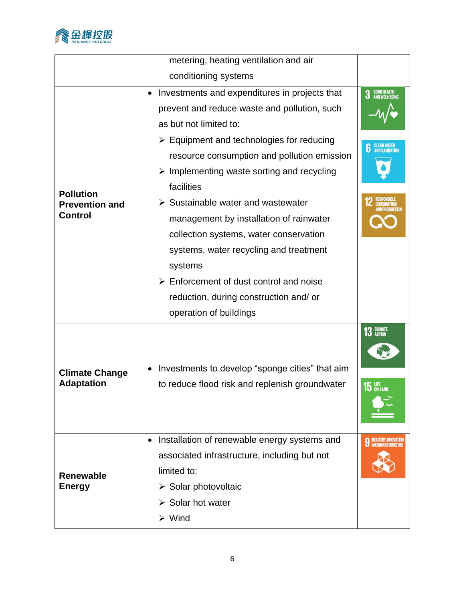

|                                                             | metering, heating ventilation and air                                                                                                                                                                                                                                                                                                                                                                                                                                                                                                                                                                                                      |                                                                                                                    |
|-------------------------------------------------------------|--------------------------------------------------------------------------------------------------------------------------------------------------------------------------------------------------------------------------------------------------------------------------------------------------------------------------------------------------------------------------------------------------------------------------------------------------------------------------------------------------------------------------------------------------------------------------------------------------------------------------------------------|--------------------------------------------------------------------------------------------------------------------|
|                                                             | conditioning systems                                                                                                                                                                                                                                                                                                                                                                                                                                                                                                                                                                                                                       |                                                                                                                    |
| <b>Pollution</b><br><b>Prevention and</b><br><b>Control</b> | Investments and expenditures in projects that<br>prevent and reduce waste and pollution, such<br>as but not limited to:<br>$\triangleright$ Equipment and technologies for reducing<br>resource consumption and pollution emission<br>$\triangleright$ Implementing waste sorting and recycling<br>facilities<br>$\triangleright$ Sustainable water and wastewater<br>management by installation of rainwater<br>collection systems, water conservation<br>systems, water recycling and treatment<br>systems<br>$\triangleright$ Enforcement of dust control and noise<br>reduction, during construction and/ or<br>operation of buildings | <b>GOOD HEALTH<br/>AND WELL-BEING</b><br>3<br><b>CLEAN WATER<br/>AND SANITATION</b><br>6<br>ND PRODUCT <b>IO</b> N |
| <b>Climate Change</b><br><b>Adaptation</b>                  | Investments to develop "sponge cities" that aim<br>to reduce flood risk and replenish groundwater                                                                                                                                                                                                                                                                                                                                                                                                                                                                                                                                          | 13 GLIMATE<br>$15$ an land                                                                                         |
| <b>Renewable</b><br><b>Energy</b>                           | Installation of renewable energy systems and<br>associated infrastructure, including but not<br>limited to:<br>$\triangleright$ Solar photovoltaic<br>$\triangleright$ Solar hot water<br>$\triangleright$ Wind                                                                                                                                                                                                                                                                                                                                                                                                                            | <b>INDUSTRY, INNOVATION<br/>AND INFRASTRUCTURE</b>                                                                 |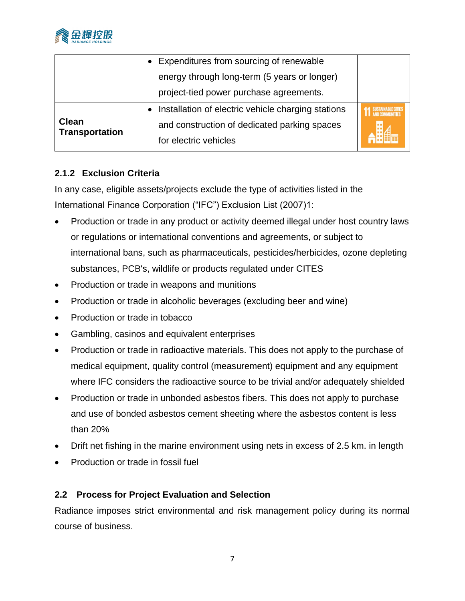

|                                       | Expenditures from sourcing of renewable            |  |
|---------------------------------------|----------------------------------------------------|--|
|                                       | energy through long-term (5 years or longer)       |  |
|                                       | project-tied power purchase agreements.            |  |
|                                       | Installation of electric vehicle charging stations |  |
| <b>Clean</b><br><b>Transportation</b> | and construction of dedicated parking spaces       |  |
|                                       | for electric vehicles                              |  |

## **2.1.2 Exclusion Criteria**

In any case, eligible assets/projects exclude the type of activities listed in the International Finance Corporation ("IFC") Exclusion List (2007)1:

- Production or trade in any product or activity deemed illegal under host country laws or regulations or international conventions and agreements, or subject to international bans, such as pharmaceuticals, pesticides/herbicides, ozone depleting substances, PCB's, wildlife or products regulated under CITES
- Production or trade in weapons and munitions
- Production or trade in alcoholic beverages (excluding beer and wine)
- Production or trade in tobacco
- Gambling, casinos and equivalent enterprises
- Production or trade in radioactive materials. This does not apply to the purchase of medical equipment, quality control (measurement) equipment and any equipment where IFC considers the radioactive source to be trivial and/or adequately shielded
- Production or trade in unbonded asbestos fibers. This does not apply to purchase and use of bonded asbestos cement sheeting where the asbestos content is less than 20%
- Drift net fishing in the marine environment using nets in excess of 2.5 km. in length
- Production or trade in fossil fuel

### **2.2 Process for Project Evaluation and Selection**

Radiance imposes strict environmental and risk management policy during its normal course of business.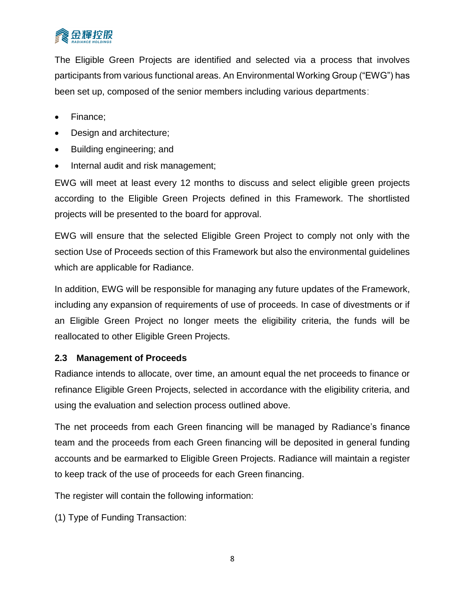

The Eligible Green Projects are identified and selected via a process that involves participants from various functional areas. An Environmental Working Group ("EWG") has been set up, composed of the senior members including various departments:

- Finance;
- Design and architecture;
- Building engineering; and
- Internal audit and risk management;

EWG will meet at least every 12 months to discuss and select eligible green projects according to the Eligible Green Projects defined in this Framework. The shortlisted projects will be presented to the board for approval.

EWG will ensure that the selected Eligible Green Project to comply not only with the section Use of Proceeds section of this Framework but also the environmental guidelines which are applicable for Radiance.

In addition, EWG will be responsible for managing any future updates of the Framework, including any expansion of requirements of use of proceeds. In case of divestments or if an Eligible Green Project no longer meets the eligibility criteria, the funds will be reallocated to other Eligible Green Projects.

#### **2.3 Management of Proceeds**

Radiance intends to allocate, over time, an amount equal the net proceeds to finance or refinance Eligible Green Projects, selected in accordance with the eligibility criteria, and using the evaluation and selection process outlined above.

The net proceeds from each Green financing will be managed by Radiance's finance team and the proceeds from each Green financing will be deposited in general funding accounts and be earmarked to Eligible Green Projects. Radiance will maintain a register to keep track of the use of proceeds for each Green financing.

The register will contain the following information:

(1) Type of Funding Transaction: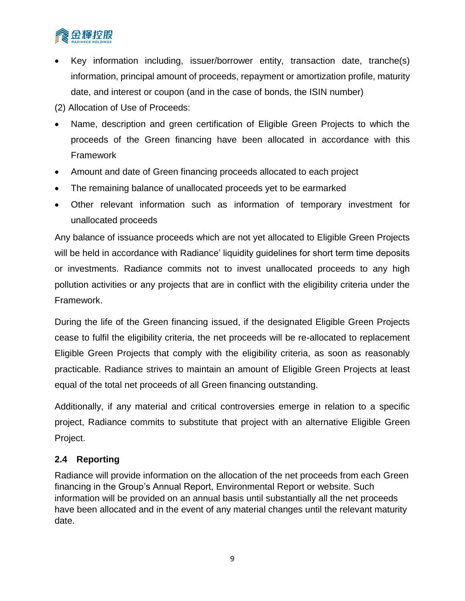

- Key information including, issuer/borrower entity, transaction date, tranche(s) information, principal amount of proceeds, repayment or amortization profile, maturity date, and interest or coupon (and in the case of bonds, the ISIN number)
- (2) Allocation of Use of Proceeds:
- Name, description and green certification of Eligible Green Projects to which the proceeds of the Green financing have been allocated in accordance with this Framework
- Amount and date of Green financing proceeds allocated to each project
- The remaining balance of unallocated proceeds yet to be earmarked
- Other relevant information such as information of temporary investment for unallocated proceeds

Any balance of issuance proceeds which are not yet allocated to Eligible Green Projects will be held in accordance with Radiance' liquidity guidelines for short term time deposits or investments. Radiance commits not to invest unallocated proceeds to any high pollution activities or any projects that are in conflict with the eligibility criteria under the Framework.

During the life of the Green financing issued, if the designated Eligible Green Projects cease to fulfil the eligibility criteria, the net proceeds will be re-allocated to replacement Eligible Green Projects that comply with the eligibility criteria, as soon as reasonably practicable. Radiance strives to maintain an amount of Eligible Green Projects at least equal of the total net proceeds of all Green financing outstanding.

Additionally, if any material and critical controversies emerge in relation to a specific project, Radiance commits to substitute that project with an alternative Eligible Green Project.

### **2.4 Reporting**

Radiance will provide information on the allocation of the net proceeds from each Green financing in the Group's Annual Report, Environmental Report or website. Such information will be provided on an annual basis until substantially all the net proceeds have been allocated and in the event of any material changes until the relevant maturity date.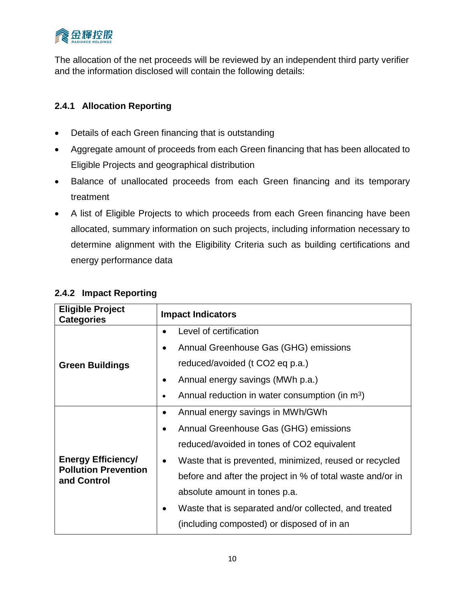

The allocation of the net proceeds will be reviewed by an independent third party verifier and the information disclosed will contain the following details:

# **2.4.1 Allocation Reporting**

- Details of each Green financing that is outstanding
- Aggregate amount of proceeds from each Green financing that has been allocated to Eligible Projects and geographical distribution
- Balance of unallocated proceeds from each Green financing and its temporary treatment
- A list of Eligible Projects to which proceeds from each Green financing have been allocated, summary information on such projects, including information necessary to determine alignment with the Eligibility Criteria such as building certifications and energy performance data

| <b>Eligible Project</b><br><b>Categories</b> | <b>Impact Indicators</b>                                            |
|----------------------------------------------|---------------------------------------------------------------------|
|                                              | Level of certification                                              |
|                                              | Annual Greenhouse Gas (GHG) emissions<br>$\bullet$                  |
| <b>Green Buildings</b>                       | reduced/avoided (t CO2 eq p.a.)                                     |
|                                              | Annual energy savings (MWh p.a.)                                    |
|                                              | Annual reduction in water consumption (in $m3$ )                    |
|                                              | Annual energy savings in MWh/GWh<br>$\bullet$                       |
|                                              | Annual Greenhouse Gas (GHG) emissions                               |
|                                              | reduced/avoided in tones of CO2 equivalent                          |
| <b>Energy Efficiency/</b>                    | Waste that is prevented, minimized, reused or recycled<br>$\bullet$ |
| <b>Pollution Prevention</b><br>and Control   | before and after the project in % of total waste and/or in          |
|                                              | absolute amount in tones p.a.                                       |
|                                              | Waste that is separated and/or collected, and treated               |
|                                              | (including composted) or disposed of in an                          |

## **2.4.2 Impact Reporting**